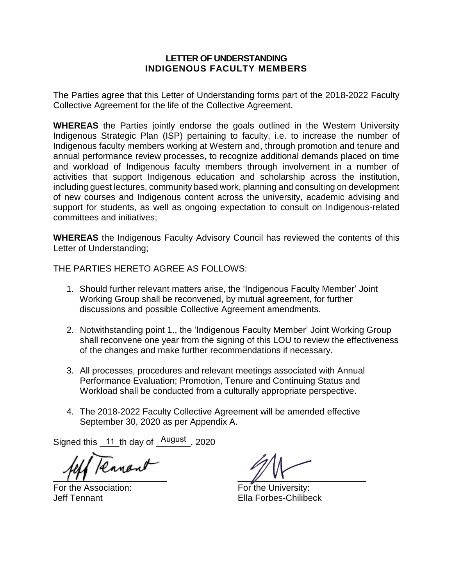#### **LETTER OF UNDERSTANDING INDIGENOUS FACULTY MEMBERS**

The Parties agree that this Letter of Understanding forms part of the 2018-2022 Faculty Collective Agreement for the life of the Collective Agreement.

**WHEREAS** the Parties jointly endorse the goals outlined in the Western University Indigenous Strategic Plan (ISP) pertaining to faculty, i.e. to increase the number of Indigenous faculty members working at Western and, through promotion and tenure and annual performance review processes, to recognize additional demands placed on time and workload of Indigenous faculty members through involvement in a number of activities that support Indigenous education and scholarship across the institution, including guest lectures, community based work, planning and consulting on development of new courses and Indigenous content across the university, academic advising and support for students, as well as ongoing expectation to consult on Indigenous-related committees and initiatives;

**WHEREAS** the Indigenous Faculty Advisory Council has reviewed the contents of this Letter of Understanding;

THE PARTIES HERETO AGREE AS FOLLOWS:

- 1. Should further relevant matters arise, the 'Indigenous Faculty Member' Joint Working Group shall be reconvened, by mutual agreement, for further discussions and possible Collective Agreement amendments.
- 2. Notwithstanding point 1., the 'Indigenous Faculty Member' Joint Working Group shall reconvene one year from the signing of this LOU to review the effectiveness of the changes and make further recommendations if necessary.
- 3. All processes, procedures and relevant meetings associated with Annual Performance Evaluation; Promotion, Tenure and Continuing Status and Workload shall be conducted from a culturally appropriate perspective.
- 4. The 2018-2022 Faculty Collective Agreement will be amended effective September 30, 2020 as per Appendix A.

Signed this  $11$  th day of  $\frac{August}{1}$ , 2020

Ranan  $\mathbb{Z}$ 

For the Association: For the University:

Jeff Tennant Ella Forbes-Chilibeck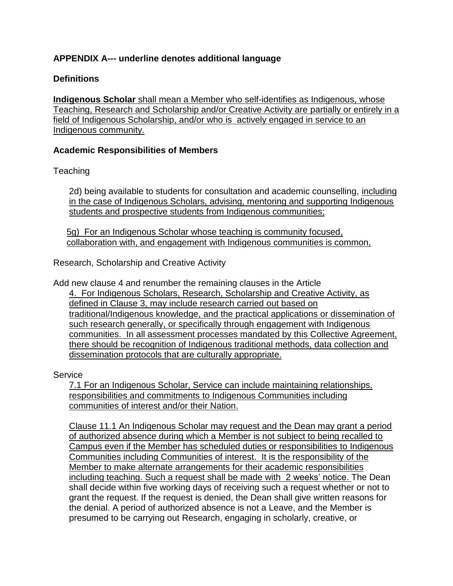# **APPENDIX A--- underline denotes additional language**

#### **Definitions**

**Indigenous Scholar** shall mean a Member who self-identifies as Indigenous, whose Teaching, Research and Scholarship and/or Creative Activity are partially or entirely in a field of Indigenous Scholarship, and/or who is actively engaged in service to an Indigenous community.

#### **Academic Responsibilities of Members**

**Teaching** 

2d) being available to students for consultation and academic counselling, including in the case of Indigenous Scholars, advising, mentoring and supporting Indigenous students and prospective students from Indigenous communities;

5g) For an Indigenous Scholar whose teaching is community focused, collaboration with, and engagement with Indigenous communities is common,

Research, Scholarship and Creative Activity

Add new clause 4 and renumber the remaining clauses in the Article 4. For Indigenous Scholars, Research, Scholarship and Creative Activity, as defined in Clause 3, may include research carried out based on traditional/Indigenous knowledge, and the practical applications or dissemination of such research generally, or specifically through engagement with Indigenous communities. In all assessment processes mandated by this Collective Agreement, there should be recognition of Indigenous traditional methods, data collection and dissemination protocols that are culturally appropriate.

Service

7.1 For an Indigenous Scholar, Service can include maintaining relationships, responsibilities and commitments to Indigenous Communities including communities of interest and/or their Nation.

Clause 11.1 An Indigenous Scholar may request and the Dean may grant a period of authorized absence during which a Member is not subject to being recalled to Campus even if the Member has scheduled duties or responsibilities to Indigenous Communities including Communities of interest. It is the responsibility of the Member to make alternate arrangements for their academic responsibilities including teaching. Such a request shall be made with 2 weeks' notice. The Dean shall decide within five working days of receiving such a request whether or not to grant the request. If the request is denied, the Dean shall give written reasons for the denial. A period of authorized absence is not a Leave, and the Member is presumed to be carrying out Research, engaging in scholarly, creative, or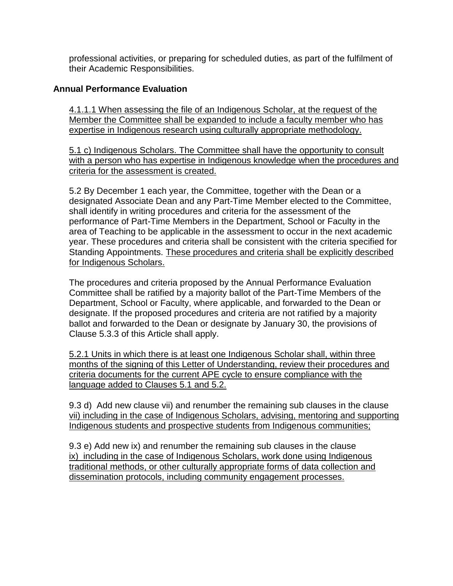professional activities, or preparing for scheduled duties, as part of the fulfilment of their Academic Responsibilities.

# **Annual Performance Evaluation**

4.1.1.1 When assessing the file of an Indigenous Scholar, at the request of the Member the Committee shall be expanded to include a faculty member who has expertise in Indigenous research using culturally appropriate methodology.

5.1 c) Indigenous Scholars. The Committee shall have the opportunity to consult with a person who has expertise in Indigenous knowledge when the procedures and criteria for the assessment is created.

5.2 By December 1 each year, the Committee, together with the Dean or a designated Associate Dean and any Part-Time Member elected to the Committee, shall identify in writing procedures and criteria for the assessment of the performance of Part-Time Members in the Department, School or Faculty in the area of Teaching to be applicable in the assessment to occur in the next academic year. These procedures and criteria shall be consistent with the criteria specified for Standing Appointments. These procedures and criteria shall be explicitly described for Indigenous Scholars.

The procedures and criteria proposed by the Annual Performance Evaluation Committee shall be ratified by a majority ballot of the Part-Time Members of the Department, School or Faculty, where applicable, and forwarded to the Dean or designate. If the proposed procedures and criteria are not ratified by a majority ballot and forwarded to the Dean or designate by January 30, the provisions of Clause 5.3.3 of this Article shall apply.

5.2.1 Units in which there is at least one Indigenous Scholar shall, within three months of the signing of this Letter of Understanding, review their procedures and criteria documents for the current APE cycle to ensure compliance with the language added to Clauses 5.1 and 5.2.

9.3 d) Add new clause vii) and renumber the remaining sub clauses in the clause vii) including in the case of Indigenous Scholars, advising, mentoring and supporting Indigenous students and prospective students from Indigenous communities;

9.3 e) Add new ix) and renumber the remaining sub clauses in the clause ix) including in the case of Indigenous Scholars, work done using Indigenous traditional methods, or other culturally appropriate forms of data collection and dissemination protocols, including community engagement processes.